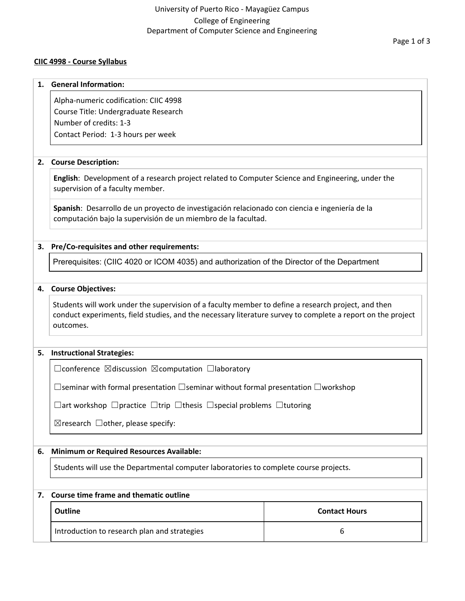## University of Puerto Rico - Mayagüez Campus College of Engineering Department of Computer Science and Engineering

## **CIIC 4998 - Course Syllabus**

# **1. General Information:** Alpha-numeric codification: CIIC 4998 Course Title: Undergraduate Research Number of credits: 1-3 Contact Period: 1-3 hours per week **2. Course Description: English**: Development of a research project related to Computer Science and Engineering, under the supervision of a faculty member. **Spanish**: Desarrollo de un proyecto de investigación relacionado con ciencia e ingeniería de la computación bajo la supervisión de un miembro de la facultad. **3. Pre/Co-requisites and other requirements:** Prerequisites: (CIIC 4020 or ICOM 4035) and authorization of the Director of the Department **4. Course Objectives:** Students will work under the supervision of a faculty member to define a research project, and then conduct experiments, field studies, and the necessary literature survey to complete a report on the project outcomes. **5. Instructional Strategies:** ☐conference ☒discussion ☒computation ☐laboratory ☐seminar with formal presentation ☐seminar without formal presentation ☐workshop ☐art workshop ☐practice ☐trip ☐thesis ☐special problems ☐tutoring  $\boxtimes$ research  $\Box$ other, please specify: **6. Minimum or Required Resources Available:** Students will use the Departmental computer laboratories to complete course projects. **7. Course time frame and thematic outline**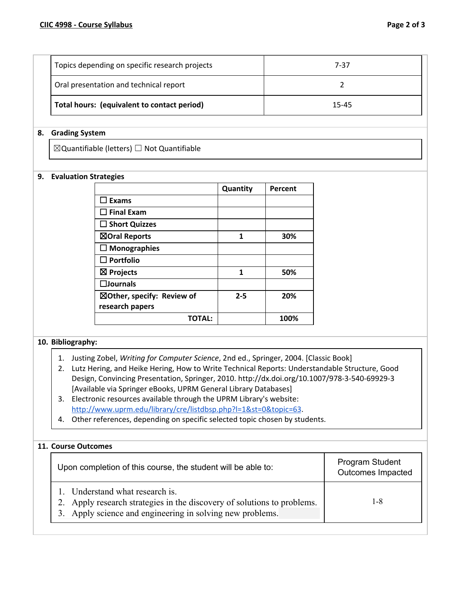| Oral presentation and technical report<br>Total hours: (equivalent to contact period) |      |
|---------------------------------------------------------------------------------------|------|
| Topics depending on specific research projects                                        | 7-37 |

#### **8. Grading System**

 $\boxtimes$ Quantifiable (letters)  $\Box$  Not Quantifiable

#### **9. Evaluation Strategies**

|                            | Quantity | Percent |
|----------------------------|----------|---------|
| $\sqsupset$ Exams          |          |         |
| $\Box$ Final Exam          |          |         |
| $\Box$ Short Quizzes       |          |         |
| ⊠Oral Reports              | 1        | 30%     |
| $\Box$ Monographies        |          |         |
| $\square$ Portfolio        |          |         |
| $\boxtimes$ Projects       | 1        | 50%     |
| $\square$ Journals         |          |         |
| ⊠Other, specify: Review of | $2 - 5$  | 20%     |
| research papers            |          |         |
| <b>TOTAL:</b>              |          | 100%    |

## **10. Bibliography:**

- 1. Justing Zobel, *Writing for Computer Science*, 2nd ed., Springer, 2004. [Classic Book]
- 2. Lutz Hering, and Heike Hering, How to Write Technical Reports: Understandable Structure, Good Design, Convincing Presentation, Springer, 2010. http://dx.doi.org/10.1007/978-3-540-69929-3 [Available via Springer eBooks, UPRM General Library Databases]
- 3. Electronic resources available through the UPRM Library's website: <http://www.uprm.edu/library/cre/listdbsp.php?l=1&st=0&topic=63>.
- 4. Other references, depending on specific selected topic chosen by students.

## **11. Course Outcomes**

| Upon completion of this course, the student will be able to:                                                                                                            | Program Student<br>Outcomes Impacted |
|-------------------------------------------------------------------------------------------------------------------------------------------------------------------------|--------------------------------------|
| 1. Understand what research is.<br>2. Apply research strategies in the discovery of solutions to problems.<br>3. Apply science and engineering in solving new problems. | 1-8                                  |